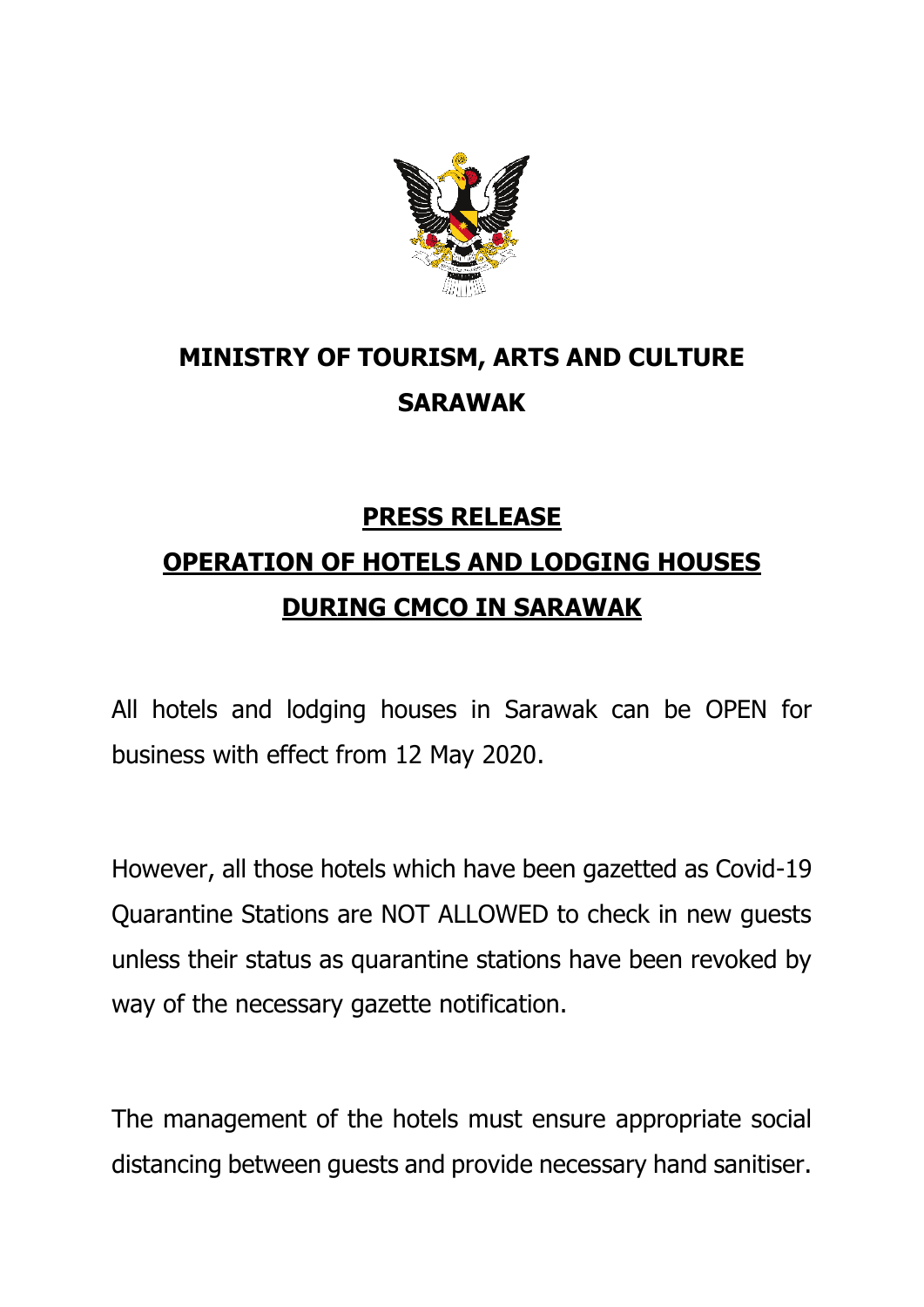

## **MINISTRY OF TOURISM, ARTS AND CULTURE SARAWAK**

## **PRESS RELEASE**

## **OPERATION OF HOTELS AND LODGING HOUSES DURING CMCO IN SARAWAK**

All hotels and lodging houses in Sarawak can be OPEN for business with effect from 12 May 2020.

However, all those hotels which have been gazetted as Covid-19 Quarantine Stations are NOT ALLOWED to check in new guests unless their status as quarantine stations have been revoked by way of the necessary gazette notification.

The management of the hotels must ensure appropriate social distancing between guests and provide necessary hand sanitiser.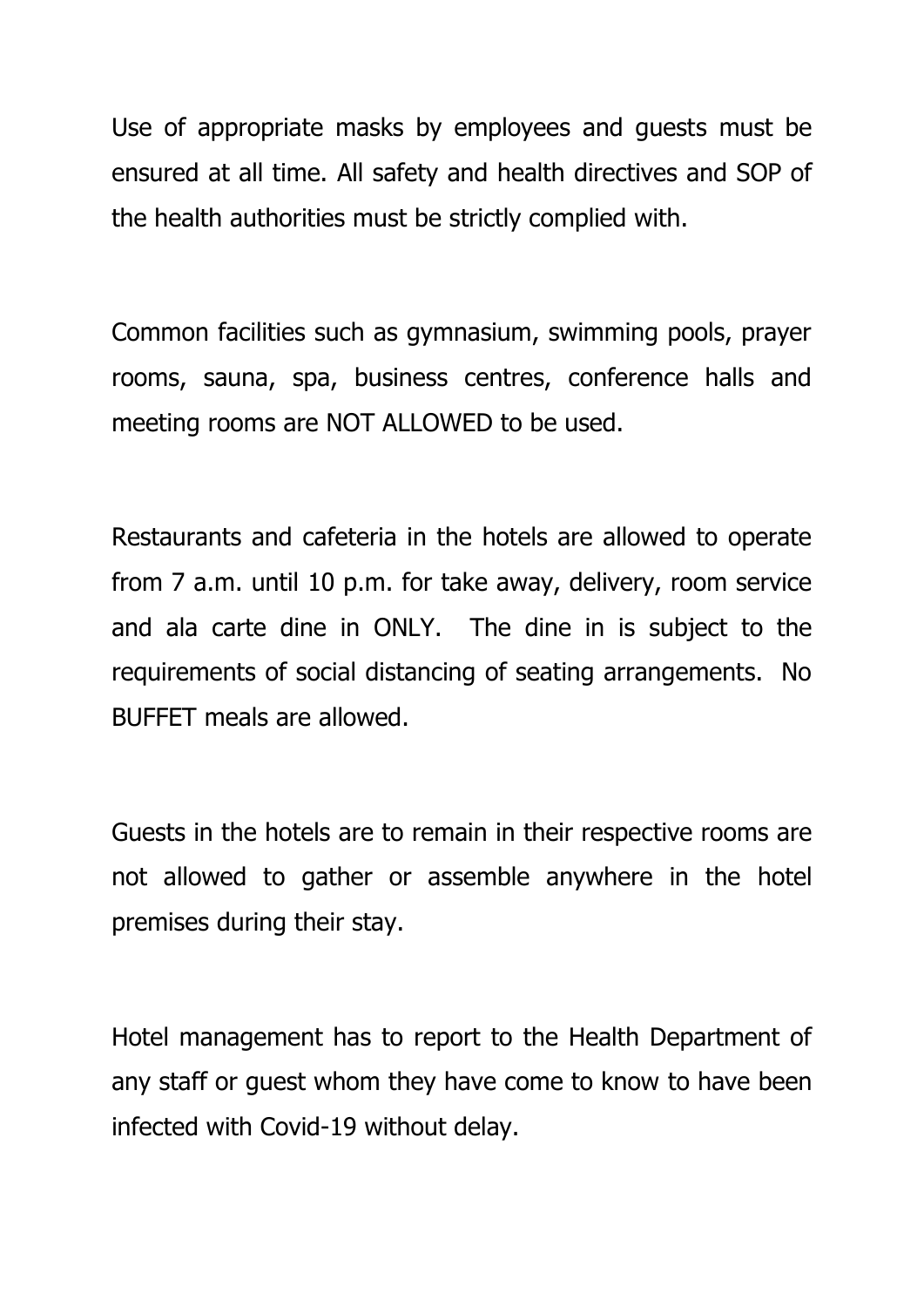Use of appropriate masks by employees and guests must be ensured at all time. All safety and health directives and SOP of the health authorities must be strictly complied with.

Common facilities such as gymnasium, swimming pools, prayer rooms, sauna, spa, business centres, conference halls and meeting rooms are NOT ALLOWED to be used.

Restaurants and cafeteria in the hotels are allowed to operate from 7 a.m. until 10 p.m. for take away, delivery, room service and ala carte dine in ONLY. The dine in is subject to the requirements of social distancing of seating arrangements. No BUFFET meals are allowed.

Guests in the hotels are to remain in their respective rooms are not allowed to gather or assemble anywhere in the hotel premises during their stay.

Hotel management has to report to the Health Department of any staff or guest whom they have come to know to have been infected with Covid-19 without delay.